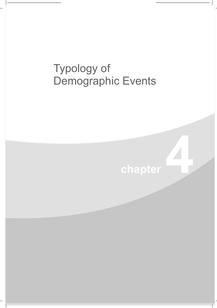## Typology of Demographic Events

## chapter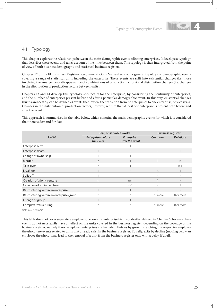

## 4.1 Typology

This chapter explores the relationships between the main demographic events affecting enterprises. It develops a typology that describes these events and takes account of the links between them. This typology is then interpreted from the point of view of both business demography and statistical business registers.

Chapter 12 of the EU Business Registers Recommendations Manual sets out a general typology of demographic events covering a range of statistical units including the enterprise. These events are split into existential changes (i.e. those involving the emergence or disappearance of combinations of production factors) and distribution changes (i.e. changes in the distribution of production factors between units).

Chapters 13 and 14 develop this typology specifically for the enterprise, by considering the continuity of enterprises, and the number of enterprises present before and after a particular demographic event. In this way, existential changes (births and deaths) can be defined as events that involve the transition from no enterprises to one enterprise, or vice versa. Changes in the distribution of production factors, however, require that at least one enterprise is present both before and after the event.

This approach is summarised in the table below, which contains the main demographic events for which it is considered that there is demand for data:

|                                          | Real, observable world                 |                                       | <b>Business register</b> |                  |  |
|------------------------------------------|----------------------------------------|---------------------------------------|--------------------------|------------------|--|
| Event                                    | <b>Enterprises before</b><br>the event | <b>Enterprises</b><br>after the event | <b>Creations</b>         | <b>Deletions</b> |  |
| Enterprise birth                         |                                        |                                       |                          |                  |  |
| Enterprise death                         |                                        |                                       |                          |                  |  |
| Change of ownership                      |                                        |                                       |                          |                  |  |
| Merger                                   | n                                      |                                       |                          | n                |  |
| Take-over                                | n                                      |                                       |                          | $n-1$            |  |
| Break-up                                 |                                        | n.                                    | n                        |                  |  |
| Split-off                                |                                        | n                                     | $n-1$                    |                  |  |
| Creation of a joint venture              | n                                      | $n+1$                                 |                          |                  |  |
| Cessation of a joint venture             | n                                      | $n-1$                                 |                          |                  |  |
| Restructuring within an enterprise       |                                        |                                       |                          |                  |  |
| Restructuring within an enterprise group | n                                      | n                                     | 0 or more                | 0 or more        |  |
| Change of group                          |                                        |                                       |                          |                  |  |
| Complex restructuring                    | n                                      | n                                     | 0 or more                | 0 or more        |  |

Note:  $n = 2$  or more

This table does not cover separately employer or economic enterprise births or deaths, defined in Chapter 5, because these events do not necessarily have an effect on the units covered in the business register, depending on the coverage of the business register; namely if non-employer enterprises are included. Entries by growth (reaching the respective employee threshold) are events related to units that already exist in the business register. Equally, exits by decline (moving below an employee threshold) may lead to the removal of a unit from the business register only with a delay, if at all.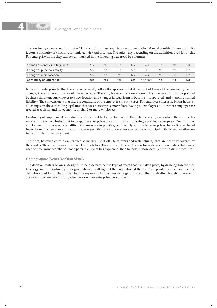

The continuity rules set out in chapter 14 of the EU Business Registers Recommendation Manual consider three continuity factors, continuity of control, economic activity and location. The rules vary depending on the definition used for births. For enterprise births they can be summarised in the following way (read by column):

| Change of controlling legal unit | NΟ  | Yes | NΟ  | Nο  | Yes       | NΟ  | Yes | Yes |
|----------------------------------|-----|-----|-----|-----|-----------|-----|-----|-----|
| Change of principal activity     | NΟ  | NΩ  | NΟ  | Yes | Nο        | Yes | Yes | Yes |
| Change of main location          | NΟ  | NΩ  | Yes | Nο  | Yes       | Yes | Nο  | Yes |
| <b>Continuity of Enterprise?</b> | Yes | Yes | Yes | Yes | See notel | No  | No  | No  |

Note – for enterprise births, these rules generally follow the approach that if two out of three of the continuity factors change, there is no continuity of the enterprise. There is, however, one exception. This is where an unincorporated business simultaneously moves to a new location and changes its legal form to become incorporated (and therefore limited liability). The convention is that there is continuity of the enterprise in such cases. For employer enterprise births however all changes in the controlling legal unit that see an enterprise move from having no employees to 1 or more employee are treated as a birth (and for economic births, 2 or more employees).

Continuity of employment may also be an important factor, particularly in the (relatively rare) cases where the above rules may lead to the conclusion that two separate enterprises are continuations of a single previous enterprise. Continuity of employment is, however, often difficult to measure in practice, particularly for smaller enterprises, hence it is excluded from the main rules above. It could also be argued that the more measurable factors of principal activity and location are in fact proxies for employment.

There are, however, certain events such as mergers, split-offs, take-overs and restructuring that are not fully covered by these rules. These events are considered further below. The approach followed here is to create a decision matrix that can be used to determine whether or not a particular event has happened, then to look in more detail at the possible outcomes.

## *Demographic Events Decision Matrix*

The decision matrix below is designed to help determine the type of event that has taken place, by drawing together the typology and the continuity rules given above, recalling that the population at the start is dependent in each case on the definition used for births and deaths. The key events for business demography are births and deaths, though other events are relevant when determining whether or not an enterprise has survived.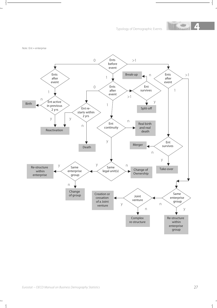Typology of Demographic Events **4**



Note : Ent = enterprise

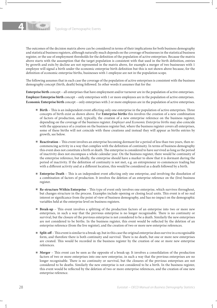

The outcomes of the decision matrix above can be considered in terms of their implications for both business demography and statistical business registers, although naturally much depends on the coverage of businesses in the statistical business register, or the use of employment thresholds for the definition of the population of active enterprises. Because the matrix above starts with the assumption that the target population is consistent with that used in the birth definition, entries by growth and exits by decline are not represented in the matrix above, for example a merger of two businesses with 1 employee will signal a birth under the economic enterprise birth definition but this is not shown above because, for the definition of economic enterprise births, businesses with 1 employee are not in the population scope.

The following assumes that in each case the coverage of the population of active enterprises is consistent with the business demography concept (birth, death) being followed. In other words it assumes that for the:

**Enterprise birth** concept – all enterprises that have employment and/or turnover are in the population of active enterprises. **Employer Enterprise birth** concept – only enterprises with 1 or more employees are in the population of active enterprises. **Economic Enterprise birth** concept – only enterprises with 2 or more employees are in the population of active enterprises.

- **Birth** This is an independent event affecting only one enterprise in the population of active enterprises. Three concepts of birth exist as shown above. For **Enterprise births** this involves the creation of a new combination of factors of production, and, typically, the creation of a new enterprise reference on the business register, depending on the coverage of the business register. Employer and Economic Enterprise births may also coincide with the appearance of a creation on the business register but, where the business register covers all enterprises, some of these births will not coincide with these creations and instead they will appear as births entries by growth, see below.
- N **Reactivation** This event involves an enterprise becoming dormant for a period of less than two years, then recommencing activity in a way that complies with the definition of continuity. In terms of business demography this event does not constitute a birth or death. The enterprise is considered to have survived as long as the period of inactivity does not encompass a whole calendar year. On the business register, there would be continuity of the enterprise reference, but ideally, the enterprise should have a marker to show that it is dormant during the period of inactivity. If the definition of continuity is not met, e.g. an entrepreneur re-commences trading but with a different activity and at a different location, this would be considered as a death followed by a birth.
- **Enterprise Death** This is an independent event affecting only one enterprise, and involving the dissolution of a combination of factors of production. It involves the deletion of an enterprise reference on the (live) business register.
- **Re-structure Within Enterprise** This type of event only involves one enterprise, which survives throughout, but changes structure in the process. Examples include opening or closing local units. This event is of no real interest or significance from the point of view of business demography, and has no impact on the demographic variables held at the enterprise level on business registers.
- **Break-up** This event involves a splitting of the production factors of an enterprise into two or more new enterprises, in such a way that the previous enterprise is no longer recognisable. There is no continuity or survival, but the closure of the previous enterprise is not considered to be a death. Similarly the new enterprises are not considered to be births. In the business register, this event would be reflected by the deletion of an enterprise reference (from the live register), and the creation of two or more new enterprise references.
- **Split-off** This event is similar to a break-up, but in this case the original enterprise does survive in a recognisable form, and therefore there is both continuity and survival. There is no death, but one or more new enterprises are created. This would be recorded in the business register by the creation of one or more new enterprise references.
- <sup>N</sup> **Merger** This event can be seen as the opposite of a break-up. It involves a consolidation of the production factors of two or more enterprises into one new enterprise, in such a way that the previous enterprises are no longer recognisable. There is no continuity or survival, but the closures of the previous enterprises are not considered to be deaths. Similarly the new enterprise is not considered to be a birth. In the business register, this event would be reflected by the deletion of two or more enterprise references, and the creation of one new enterprise reference.